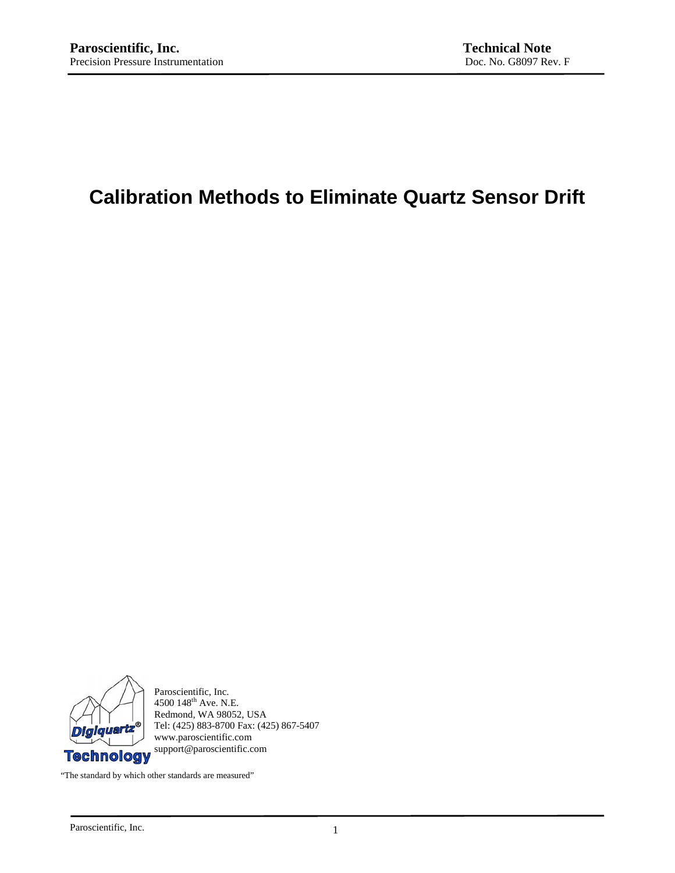# **Calibration Methods to Eliminate Quartz Sensor Drift**



Paroscientific, Inc. 4500 148<sup>th</sup> Ave. N.E. Redmond, WA 98052, USA Tel: (425) 883-8700 Fax: (425) 867-5407 www.paroscientific.com

"The standard by which other standards are measured"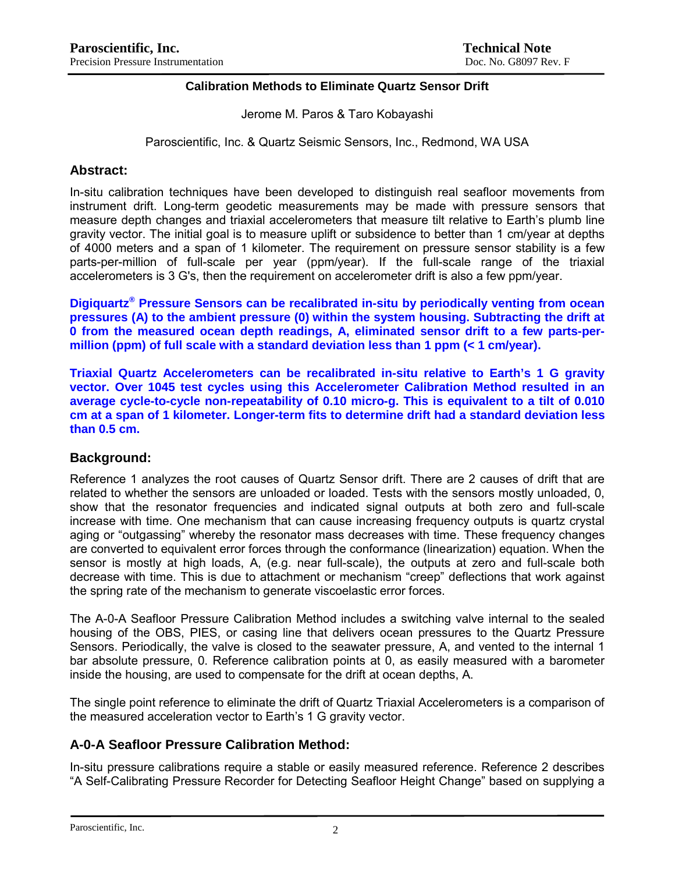#### **Calibration Methods to Eliminate Quartz Sensor Drift**

Jerome M. Paros & Taro Kobayashi

Paroscientific, Inc. & Quartz Seismic Sensors, Inc., Redmond, WA USA

#### **Abstract:**

In-situ calibration techniques have been developed to distinguish real seafloor movements from instrument drift. Long-term geodetic measurements may be made with pressure sensors that measure depth changes and triaxial accelerometers that measure tilt relative to Earth's plumb line gravity vector. The initial goal is to measure uplift or subsidence to better than 1 cm/year at depths of 4000 meters and a span of 1 kilometer. The requirement on pressure sensor stability is a few parts-per-million of full-scale per year (ppm/year). If the full-scale range of the triaxial accelerometers is 3 G's, then the requirement on accelerometer drift is also a few ppm/year.

**Digiquartz® Pressure Sensors can be recalibrated in-situ by periodically venting from ocean pressures (A) to the ambient pressure (0) within the system housing. Subtracting the drift at 0 from the measured ocean depth readings, A, eliminated sensor drift to a few parts-permillion (ppm) of full scale with a standard deviation less than 1 ppm (< 1 cm/year).** 

**Triaxial Quartz Accelerometers can be recalibrated in-situ relative to Earth's 1 G gravity vector. Over 1045 test cycles using this Accelerometer Calibration Method resulted in an average cycle-to-cycle non-repeatability of 0.10 micro-g. This is equivalent to a tilt of 0.010 cm at a span of 1 kilometer. Longer-term fits to determine drift had a standard deviation less than 0.5 cm.** 

### **Background:**

Reference 1 analyzes the root causes of Quartz Sensor drift. There are 2 causes of drift that are related to whether the sensors are unloaded or loaded. Tests with the sensors mostly unloaded, 0, show that the resonator frequencies and indicated signal outputs at both zero and full-scale increase with time. One mechanism that can cause increasing frequency outputs is quartz crystal aging or "outgassing" whereby the resonator mass decreases with time. These frequency changes are converted to equivalent error forces through the conformance (linearization) equation. When the sensor is mostly at high loads, A, (e.g. near full-scale), the outputs at zero and full-scale both decrease with time. This is due to attachment or mechanism "creep" deflections that work against the spring rate of the mechanism to generate viscoelastic error forces.

The A-0-A Seafloor Pressure Calibration Method includes a switching valve internal to the sealed housing of the OBS, PIES, or casing line that delivers ocean pressures to the Quartz Pressure Sensors. Periodically, the valve is closed to the seawater pressure, A, and vented to the internal 1 bar absolute pressure, 0. Reference calibration points at 0, as easily measured with a barometer inside the housing, are used to compensate for the drift at ocean depths, A.

The single point reference to eliminate the drift of Quartz Triaxial Accelerometers is a comparison of the measured acceleration vector to Earth's 1 G gravity vector.

### **A-0-A Seafloor Pressure Calibration Method:**

In-situ pressure calibrations require a stable or easily measured reference. Reference 2 describes "A Self-Calibrating Pressure Recorder for Detecting Seafloor Height Change" based on supplying a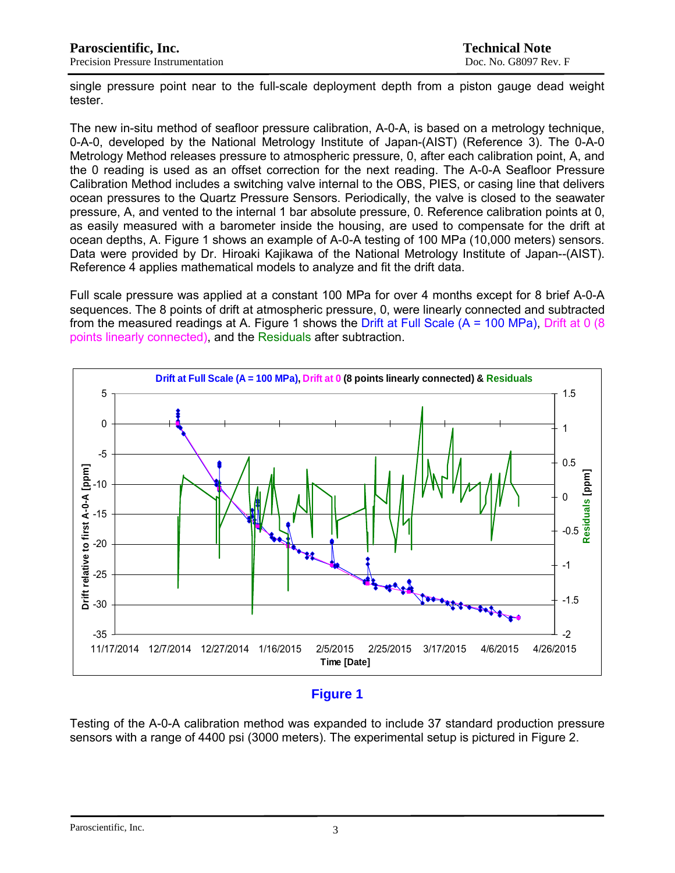single pressure point near to the full-scale deployment depth from a piston gauge dead weight tester.

The new in-situ method of seafloor pressure calibration, A-0-A, is based on a metrology technique, 0-A-0, developed by the National Metrology Institute of Japan-(AIST) (Reference 3). The 0-A-0 Metrology Method releases pressure to atmospheric pressure, 0, after each calibration point, A, and the 0 reading is used as an offset correction for the next reading. The A-0-A Seafloor Pressure Calibration Method includes a switching valve internal to the OBS, PIES, or casing line that delivers ocean pressures to the Quartz Pressure Sensors. Periodically, the valve is closed to the seawater pressure, A, and vented to the internal 1 bar absolute pressure, 0. Reference calibration points at 0, as easily measured with a barometer inside the housing, are used to compensate for the drift at ocean depths, A. Figure 1 shows an example of A-0-A testing of 100 MPa (10,000 meters) sensors. Data were provided by Dr. Hiroaki Kajikawa of the National Metrology Institute of Japan--(AIST). Reference 4 applies mathematical models to analyze and fit the drift data.

Full scale pressure was applied at a constant 100 MPa for over 4 months except for 8 brief A-0-A sequences. The 8 points of drift at atmospheric pressure, 0, were linearly connected and subtracted from the measured readings at A. Figure 1 shows the Drift at Full Scale  $(A = 100 MPa)$ . Drift at 0 (8) points linearly connected), and the Residuals after subtraction.



## **Figure 1**

Testing of the A-0-A calibration method was expanded to include 37 standard production pressure sensors with a range of 4400 psi (3000 meters). The experimental setup is pictured in Figure 2.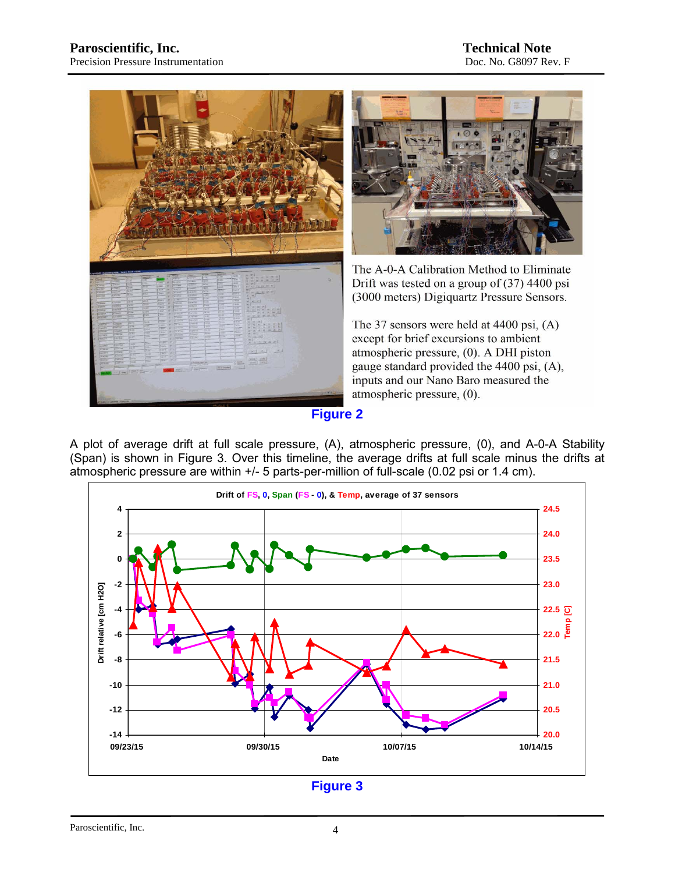



The A-0-A Calibration Method to Eliminate Drift was tested on a group of (37) 4400 psi (3000 meters) Digiquartz Pressure Sensors.

The 37 sensors were held at 4400 psi,  $(A)$ except for brief excursions to ambient atmospheric pressure, (0). A DHI piston gauge standard provided the 4400 psi, (A), inputs and our Nano Baro measured the atmospheric pressure, (0).

**Figure 2** 

A plot of average drift at full scale pressure, (A), atmospheric pressure, (0), and A-0-A Stability (Span) is shown in Figure 3. Over this timeline, the average drifts at full scale minus the drifts at atmospheric pressure are within +/- 5 parts-per-million of full-scale (0.02 psi or 1.4 cm).



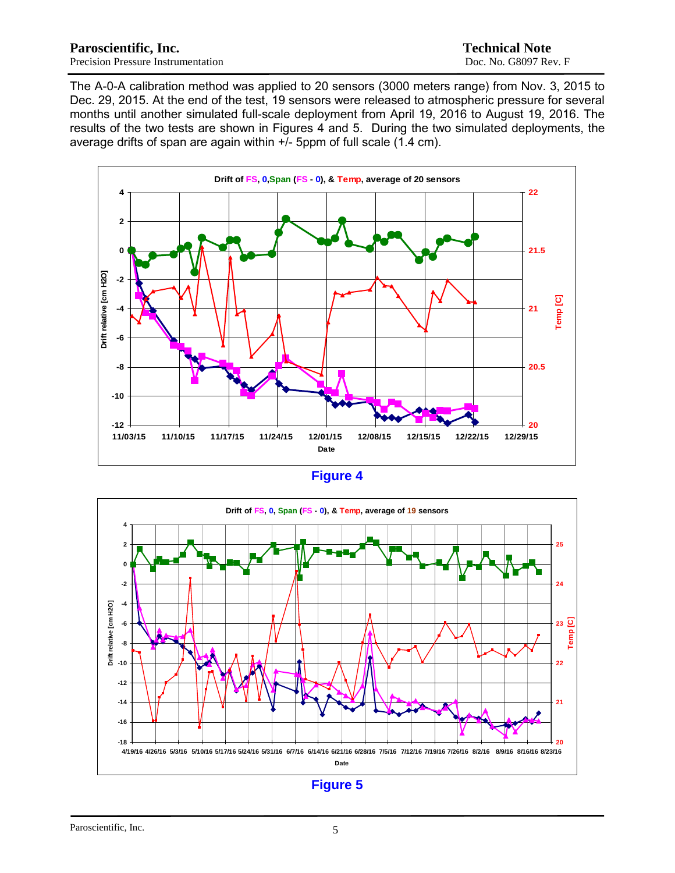The A-0-A calibration method was applied to 20 sensors (3000 meters range) from Nov. 3, 2015 to Dec. 29, 2015. At the end of the test, 19 sensors were released to atmospheric pressure for several months until another simulated full-scale deployment from April 19, 2016 to August 19, 2016. The results of the two tests are shown in Figures 4 and 5. During the two simulated deployments, the average drifts of span are again within  $+i$ - 5ppm of full scale (1.4 cm).



| r. |  |
|----|--|
|    |  |



**Figure 5**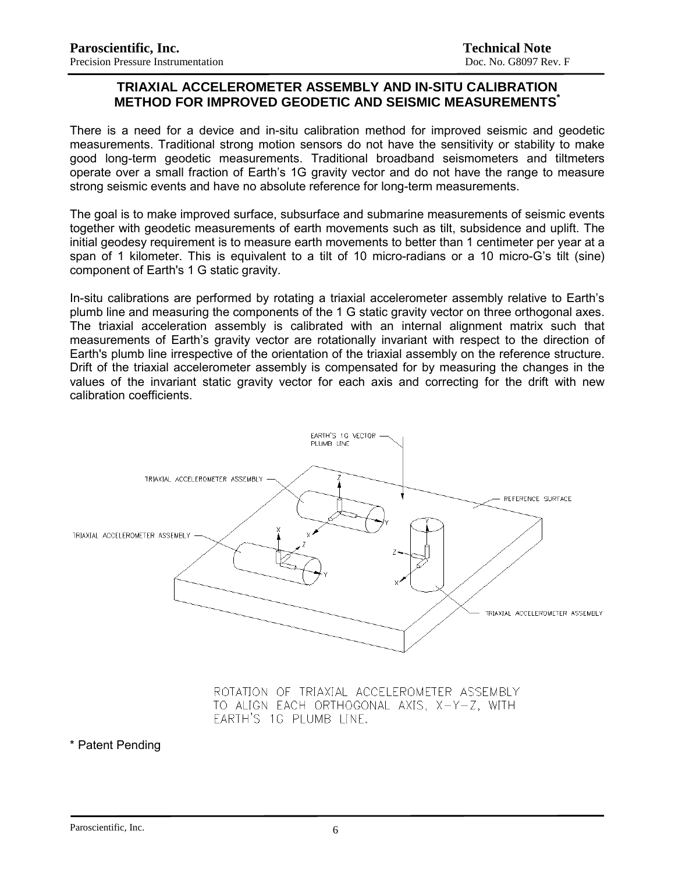#### **TRIAXIAL ACCELEROMETER ASSEMBLY AND IN-SITU CALIBRATION METHOD FOR IMPROVED GEODETIC AND SEISMIC MEASUREMENTS\***

There is a need for a device and in-situ calibration method for improved seismic and geodetic measurements. Traditional strong motion sensors do not have the sensitivity or stability to make good long-term geodetic measurements. Traditional broadband seismometers and tiltmeters operate over a small fraction of Earth's 1G gravity vector and do not have the range to measure strong seismic events and have no absolute reference for long-term measurements.

The goal is to make improved surface, subsurface and submarine measurements of seismic events together with geodetic measurements of earth movements such as tilt, subsidence and uplift. The initial geodesy requirement is to measure earth movements to better than 1 centimeter per year at a span of 1 kilometer. This is equivalent to a tilt of 10 micro-radians or a 10 micro-G's tilt (sine) component of Earth's 1 G static gravity.

In-situ calibrations are performed by rotating a triaxial accelerometer assembly relative to Earth's plumb line and measuring the components of the 1 G static gravity vector on three orthogonal axes. The triaxial acceleration assembly is calibrated with an internal alignment matrix such that measurements of Earth's gravity vector are rotationally invariant with respect to the direction of Earth's plumb line irrespective of the orientation of the triaxial assembly on the reference structure. Drift of the triaxial accelerometer assembly is compensated for by measuring the changes in the values of the invariant static gravity vector for each axis and correcting for the drift with new calibration coefficients.



ROTATION OF TRIAXIAL ACCELEROMETER ASSEMBLY TO ALIGN EACH ORTHOGONAL AXIS, X-Y-Z, WITH EARTH'S 1G PLUMB LINE.

\* Patent Pending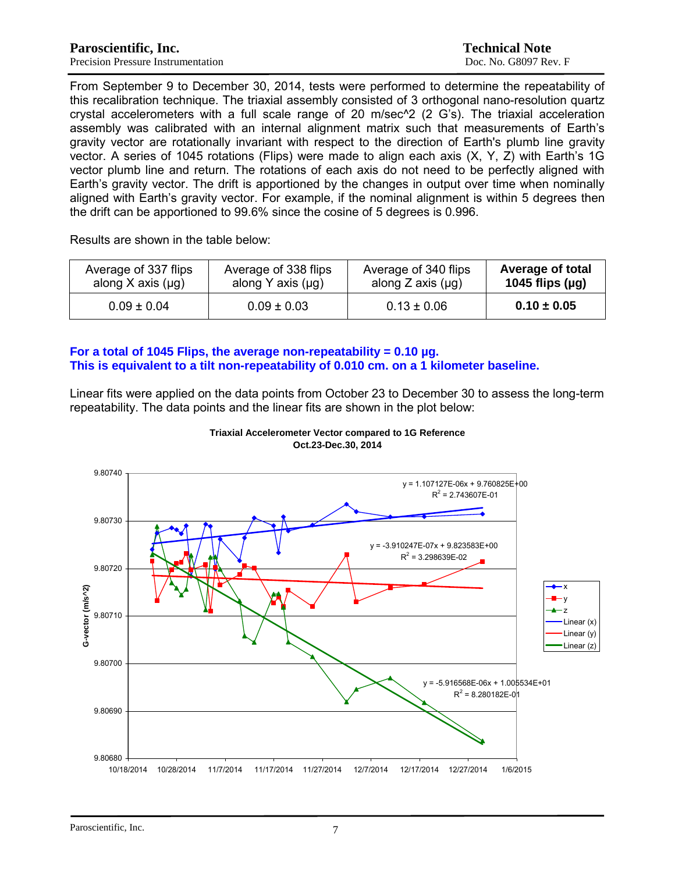From September 9 to December 30, 2014, tests were performed to determine the repeatability of this recalibration technique. The triaxial assembly consisted of 3 orthogonal nano-resolution quartz crystal accelerometers with a full scale range of 20 m/sec^2 (2 G's). The triaxial acceleration assembly was calibrated with an internal alignment matrix such that measurements of Earth's gravity vector are rotationally invariant with respect to the direction of Earth's plumb line gravity vector. A series of 1045 rotations (Flips) were made to align each axis (X, Y, Z) with Earth's 1G vector plumb line and return. The rotations of each axis do not need to be perfectly aligned with Earth's gravity vector. The drift is apportioned by the changes in output over time when nominally aligned with Earth's gravity vector. For example, if the nominal alignment is within 5 degrees then the drift can be apportioned to 99.6% since the cosine of 5 degrees is 0.996.

Results are shown in the table below:

| Average of 337 flips<br>Average of 338 flips<br>along X axis $(\mu g)$<br>along Y axis $(\mu g)$ |                 | Average of 340 flips<br>along $Z$ axis $(\mu g)$ | <b>Average of total</b><br>1045 flips $(\mu g)$ |
|--------------------------------------------------------------------------------------------------|-----------------|--------------------------------------------------|-------------------------------------------------|
| $0.09 \pm 0.04$                                                                                  | $0.09 \pm 0.03$ | $0.13 \pm 0.06$                                  | $0.10 \pm 0.05$                                 |

#### **For a total of 1045 Flips, the average non-repeatability = 0.10 µg. This is equivalent to a tilt non-repeatability of 0.010 cm. on a 1 kilometer baseline.**

Linear fits were applied on the data points from October 23 to December 30 to assess the long-term repeatability. The data points and the linear fits are shown in the plot below:



**Triaxial Accelerometer Vector compared to 1G Reference Oct.23-Dec.30, 2014**